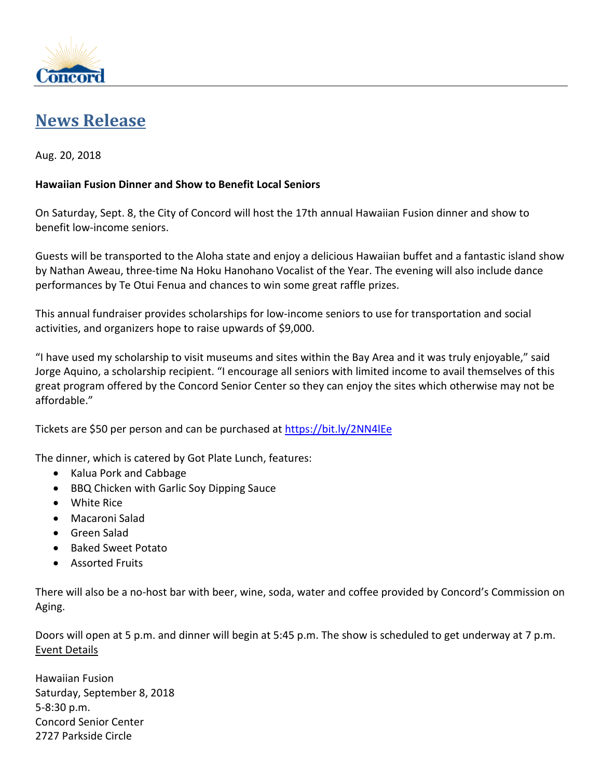

## **[News Release](http://www.cityofconcord.org/page.asp?pid=n00)**

## Aug. 20, 2018

## **Hawaiian Fusion Dinner and Show to Benefit Local Seniors**

On Saturday, Sept. 8, the City of Concord will host the 17th annual Hawaiian Fusion dinner and show to benefit low-income seniors.

Guests will be transported to the Aloha state and enjoy a delicious Hawaiian buffet and a fantastic island show by Nathan Aweau, three-time Na Hoku Hanohano Vocalist of the Year. The evening will also include dance performances by Te Otui Fenua and chances to win some great raffle prizes.

This annual fundraiser provides scholarships for low-income seniors to use for transportation and social activities, and organizers hope to raise upwards of \$9,000.

"I have used my scholarship to visit museums and sites within the Bay Area and it was truly enjoyable," said Jorge Aquino, a scholarship recipient. "I encourage all seniors with limited income to avail themselves of this great program offered by the Concord Senior Center so they can enjoy the sites which otherwise may not be affordable."

Tickets are \$50 per person and can be purchased at<https://bit.ly/2NN4lEe>

The dinner, which is catered by Got Plate Lunch, features:

- Kalua Pork and Cabbage
- BBQ Chicken with Garlic Soy Dipping Sauce
- White Rice
- Macaroni Salad
- Green Salad
- Baked Sweet Potato
- Assorted Fruits

There will also be a no-host bar with beer, wine, soda, water and coffee provided by Concord's Commission on Aging.

Doors will open at 5 p.m. and dinner will begin at 5:45 p.m. The show is scheduled to get underway at 7 p.m. Event Details

Hawaiian Fusion Saturday, September 8, 2018 5-8:30 p.m. Concord Senior Center 2727 Parkside Circle